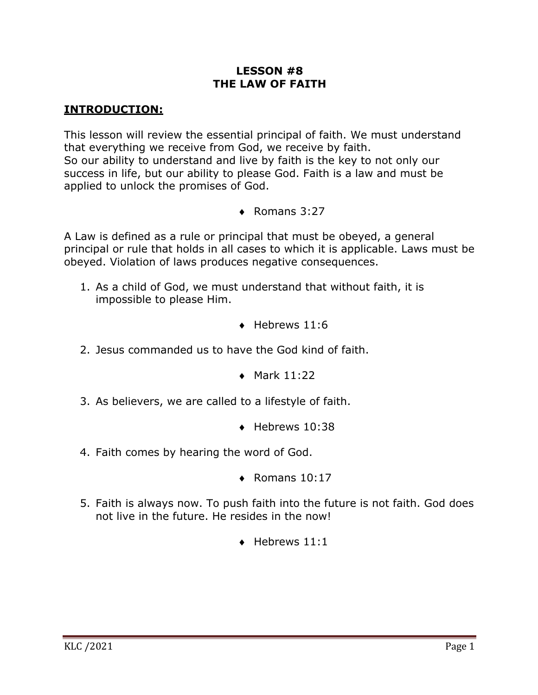# **LESSON #8 THE LAW OF FAITH**

### **INTRODUCTION:**

This lesson will review the essential principal of faith. We must understand that everything we receive from God, we receive by faith. So our ability to understand and live by faith is the key to not only our success in life, but our ability to please God. Faith is a law and must be applied to unlock the promises of God.

 $\triangleleft$  Romans 3:27

A Law is defined as a rule or principal that must be obeyed, a general principal or rule that holds in all cases to which it is applicable. Laws must be obeyed. Violation of laws produces negative consequences.

- 1. As a child of God, we must understand that without faith, it is impossible to please Him.
	- $\bullet$  Hebrews 11:6
- 2. Jesus commanded us to have the God kind of faith.
	- $\bullet$  Mark 11:22
- 3. As believers, we are called to a lifestyle of faith.
	- $\bullet$  Hebrews 10:38
- 4. Faith comes by hearing the word of God.
	- $\triangleleft$  Romans 10:17
- 5. Faith is always now. To push faith into the future is not faith. God does not live in the future. He resides in the now!
	- $\triangleleft$  Hebrews 11:1